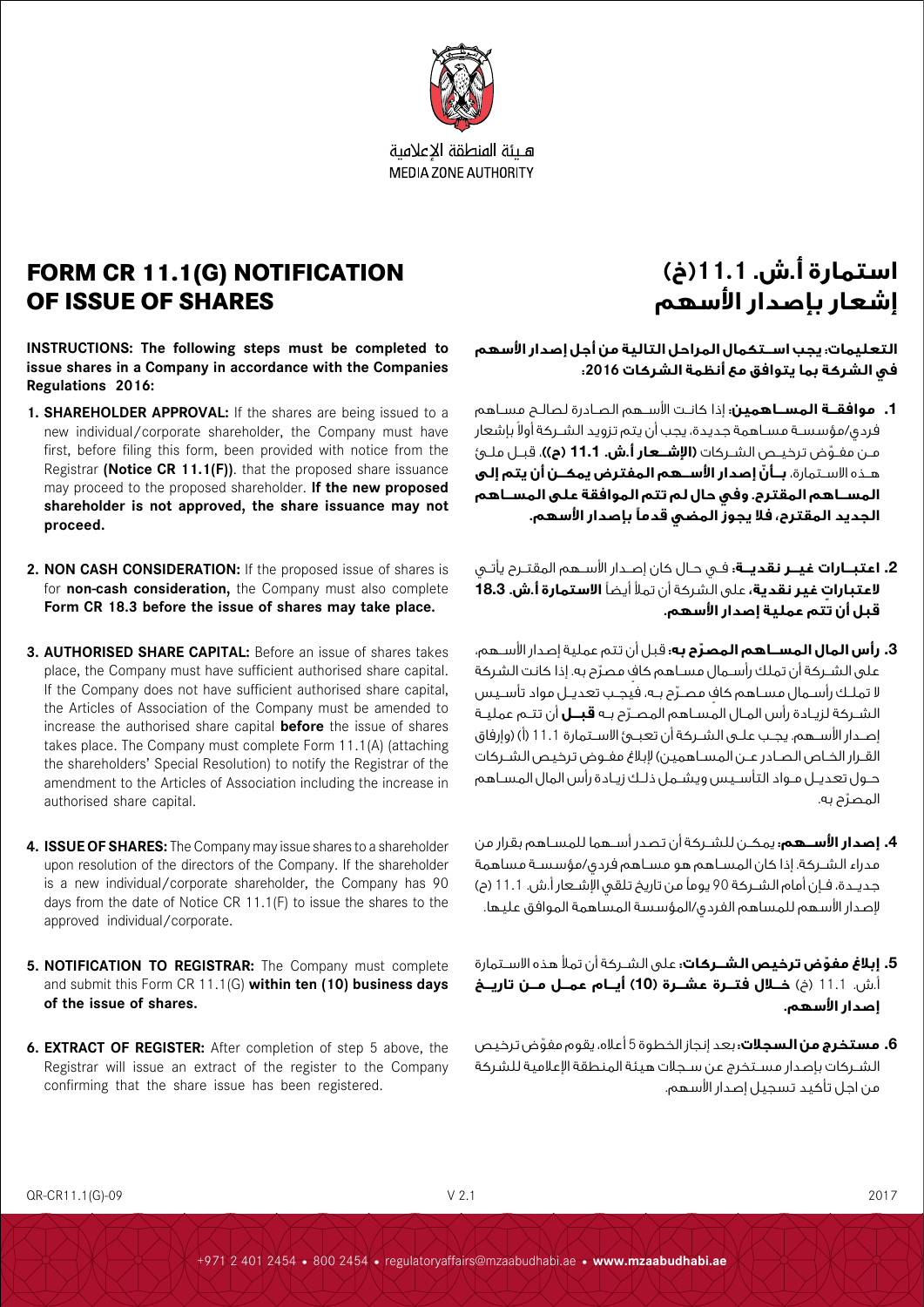

هلئة المنطقة الاعلامية **MEDIA ZONE AUTHORITY** 

### **FORM CR 11.1(G) NOTIFICATION OF ISSUE OF SHARES**

**INSTRUCTIONS: The following steps must be completed to issue shares in a Company in accordance with the Companies Regulations 2016:**

- **1. SHAREHOLDER APPROVAL:** If the shares are being issued to a new individual/corporate shareholder, the Company must have first, before filing this form, been provided with notice from the Registrar **(Notice CR 11.1(F))**. that the proposed share issuance may proceed to the proposed shareholder. **If the new proposed shareholder is not approved, the share issuance may not proceed.**
- **2. NON CASH CONSIDERATION:** If the proposed issue of shares is for **non-cash consideration,** the Company must also complete **Form CR 18.3 before the issue of shares may take place.**
- **3. AUTHORISED SHARE CAPITAL:** Before an issue of shares takes place, the Company must have sufficient authorised share capital. If the Company does not have sufficient authorised share capital, the Articles of Association of the Company must be amended to increase the authorised share capital **before** the issue of shares takes place. The Company must complete Form 11.1(A) (attaching the shareholders' Special Resolution) to notify the Registrar of the amendment to the Articles of Association including the increase in authorised share capital.
- **4. ISSUE OF SHARES:** The Company may issue shares to a shareholder upon resolution of the directors of the Company. If the shareholder is a new individual/corporate shareholder, the Company has 90 days from the date of Notice CR 11.1(F) to issue the shares to the approved individual/corporate.
- **5. NOTIFICATION TO REGISTRAR:** The Company must complete and submit this Form CR 11.1(G) **within ten (10) business days of the issue of shares.**
- **6. EXTRACT OF REGISTER:** After completion of step 5 above, the Registrar will issue an extract of the register to the Company confirming that the share issue has been registered.

## **استمارة أ.ش. 11.1)خ( إشعار بإصدار األسهم**

**التعليمات: يجب اســتكمال المراحل التالية من أجل إصدار األسهم في الشركة بما يتوافق مع أنظمة الشركات :2016** 

- .1 **موافقــة المســاهمين:** إذا كانــت األســهم الصــادرة لصالــح مســاهم فردي/مؤسسـة مسـاهمة جديدة، يجب أن يتم تزويد الشــركة أولا بإشعار ّ مــن مفــوض ترخيــص الشــركات **)اإلشــعار أ.ش.** 11.1 **)ح((**، قبــل ملــئ هــذه االســتمارة، **ّ بــأن إصدار األســهم المفترض يمكــن أن يتم إلى المســاهم المقترح. وفي حال لم تتم الموافقة على المســاهم الجديد المقترح، فال يجوز المضي قدمًا بإصدار األسهم.**
- .2 **اعتبــارات غيــر نقديــة:** فــي حــال كان إصــدار األســهم المقتــرح يأتــي **ٍ العتبارات غير نقدية،** على الشركة أن تمأل أيضًا **االستمارة أ.ش.** 18.3 **قبل أن تتم عملية إصدار األسهم.**
- .3 **ّ رأس المال المســاهم المصرح به:** قبل أن تتم عملية إصدار األســهم، على الشــركة أن تملك رأســمال مســاهم كاف مصرّح به. إذا كانت الشركة لا تملـك رأســمال مسـاهم كاف مصـرّح بــه، فيجـب تعديــل مواد تأسـيس ّ الشــركة لزيــادة رأس المــال المســاهم المصــرح بــه **قبــل** أن تتــم عمليــة إصــدار الأســهم. يجـب علــى الشــركة أن تعبــىٔ الاســتمارة 11.1 (أ) (وإرفاق القــرار الخــاص الصــادر عــن المســاهمين( إلبالغ مفــوض ترخيص الشــركات حــول تعديــل مــواد التأســيس ويشــمل ذلــك زيــادة رأس المال المســاهم ّ المصرح به.
- .4 **إصدار األســهم:** يمكــن للشــركة أن تصدر أســهما للمســاهم بقرار من مدراء الشــركة. إذا كان المســاهم هو مســاهم فردي/مؤسســة مساهمة جديــدة، فــإن أمام الشــركة 90 يوماً من تاريخ تلقى الإشــعار أ.ش. 11.1 (ح) إلصدار األسهم للمساهم الفردي/المؤسسة المساهمة الموافق عليها.
- .5 **ّ إبالغ مفوض ترخيص الشــركات:** على الشــركة أن تمأل هذه االســتمارة .<br>أَ.ش. 11.1 (خ) **خــلال فتــرة عشــرة (10) أيــام عمــل مــن تاريــخ إصدار األسهم.**
- .6 **مستخرج من السجالت:** بعد إنجاز الخطوة 5 ّ أعاله، يقوم مفوض ترخيص الشــركات بإصدار مســتخرج عن ســجالت هيئة المنطقة اإلعالمية للشركة من اجل تأكيد تسجيل إصدار األسهم.

QR-CR11.1(G)-09 V 2.1 2017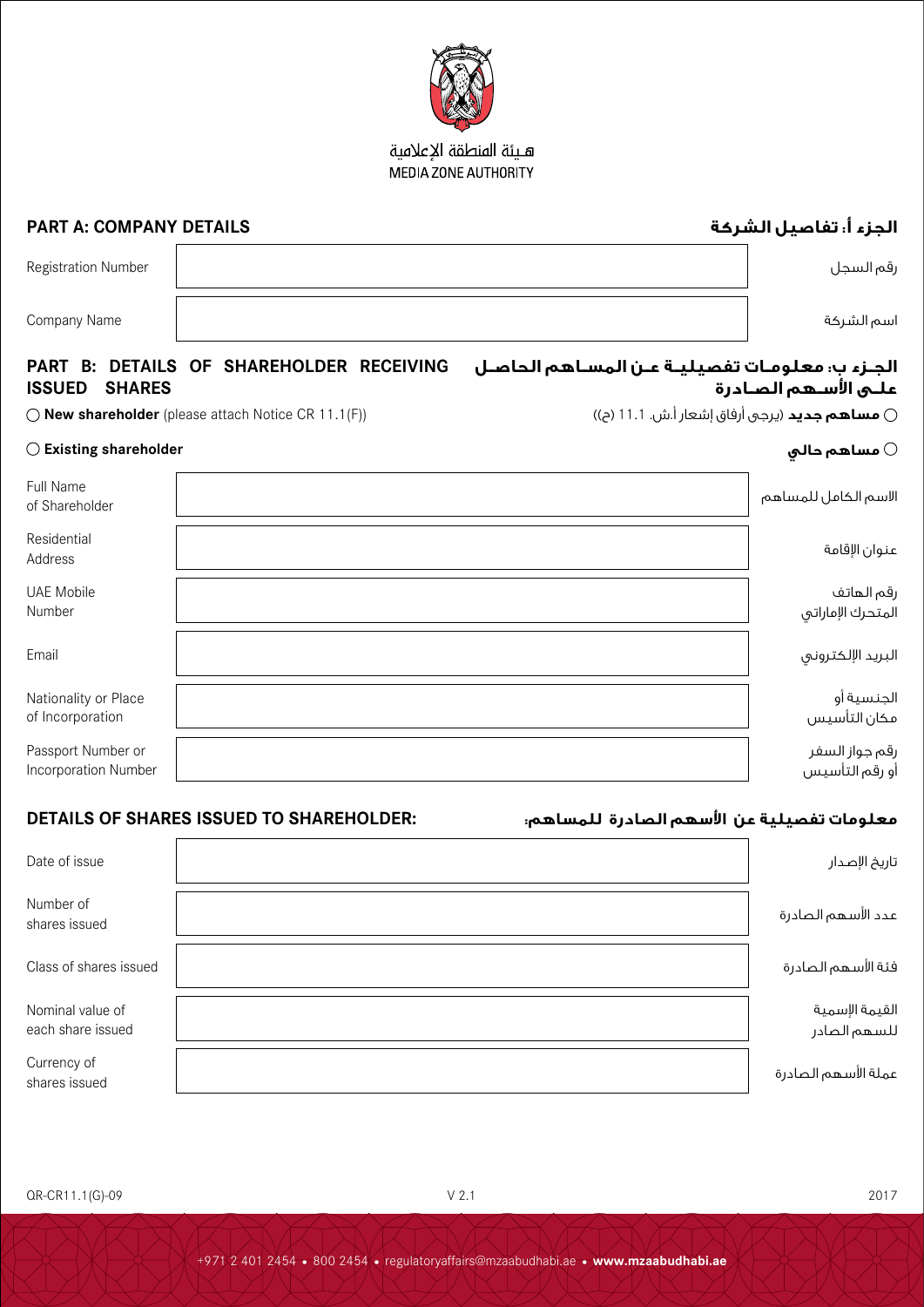

QR-CR11.1(G)-09 V 2.1 2017

### Nominal value of each share issued

#### - السم الكامل للمساهم المساهم المساهم المساهم المستخدمة المستخدمة المستخدمة المستخدمة المستخدمة المستخدمة المس<br>Shareholder of Shareholder of Shareholder of Shareholder of Shareholder of Shareholder of Shareholder of Share Residential عنوان الإقامة Address UAE Mobile Number رقم الهاتف المتحرك الإماراتي البريد اإللكتروني Email Nationality or Place of Incorporation Passport Number or Incorporation Number أو رقم التأسيس

|                      |  | تفصيليـة عـن المسـاهم الحاصـل      PART   B:  DETAILS   OF  SHAREHOLDER   RECEIVING |
|----------------------|--|-------------------------------------------------------------------------------------|
| <b>ISSUED SHARES</b> |  | درة                                                                                 |

# رقم السجل السجل السجل السجل السجل السجل السجل السجل السجل السجل السجل المسجل السجل السجل السجل السجل السجل الس

اسم الشركة Name Company

Full Name

# **ISSUED SHARES**

 $\bigcirc$  **New shareholder** (please attach Notice CR 11.1(F)) **حساهم جديد** (يرجى أرفاق إشعار أ.ش. 11.1 (ح))

### الجـزء ب: معلومـات **علـى األسـهم الصـادرة**

### $\bigcirc$  Existing shareholder  $\bigcirc$  مساهم حالي $\bigcirc$

| $\sim$ | the contract of the contract of the contract of the contract of the contract of the contract of the contract of |  | $\sim$ $\sim$ $\sim$ |
|--------|-----------------------------------------------------------------------------------------------------------------|--|----------------------|
|        |                                                                                                                 |  |                      |
|        |                                                                                                                 |  |                      |
|        |                                                                                                                 |  |                      |
|        |                                                                                                                 |  |                      |
|        |                                                                                                                 |  |                      |
|        |                                                                                                                 |  |                      |
|        |                                                                                                                 |  |                      |

الجنسية أو مكان التأسيس

رقم جواز السفر

### **معلومات تفصيلية عن األسهم الصادرة للمساهم: :SHAREHOLDER TO ISSUED SHARES OF DETAILS**

| Date of issue                         | تاريخ الإصدار                   |
|---------------------------------------|---------------------------------|
| Number of<br>shares issued            | عدد الأسهم الصادرة              |
| Class of shares issued                | فئة الأسهم الصادرة              |
| Nominal value of<br>each share issued | القيمة الإسمية<br>اللسهم الصادر |
| Currency of<br>shares issued          | عملة الأسهم الصادرة             |



هبئة المنطقة الاعلامية MEDIA ZONE AUTHORITY

# **الجزء أ: تفاصيل الشركة DETAILS COMPANY :A PART**

|           | . . |  |
|-----------|-----|--|
|           |     |  |
|           |     |  |
|           |     |  |
| يقم السجل |     |  |